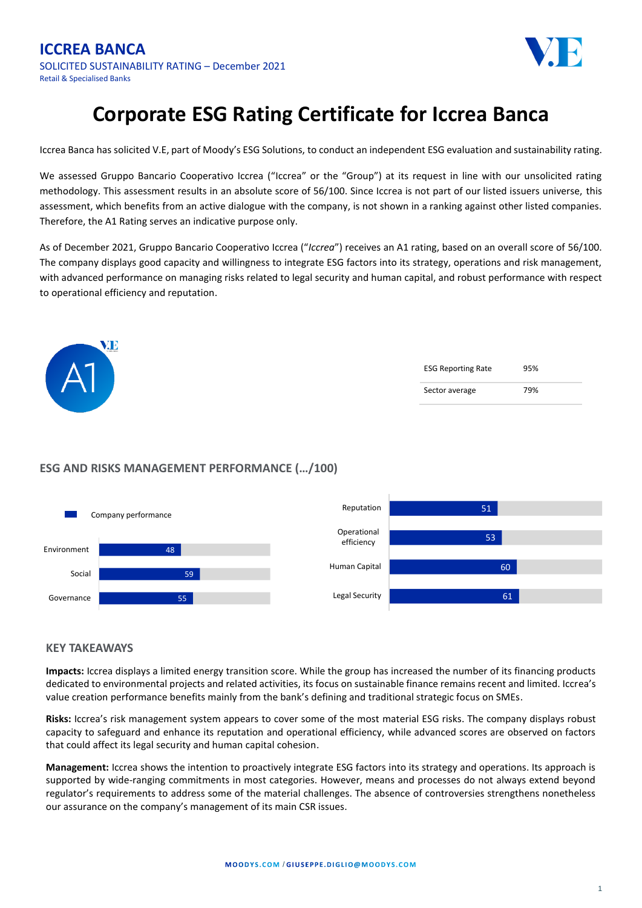

## **Corporate ESG Rating Certificate for Iccrea Banca**

Iccrea Banca has solicited V.E, part of Moody's ESG Solutions, to conduct an independent ESG evaluation and sustainability rating.

We assessed Gruppo Bancario Cooperativo Iccrea ("Iccrea" or the "Group") at its request in line with our unsolicited rating methodology. This assessment results in an absolute score of 56/100. Since Iccrea is not part of our listed issuers universe, this assessment, which benefits from an active dialogue with the company, is not shown in a ranking against other listed companies. Therefore, the A1 Rating serves an indicative purpose only.

As of December 2021, Gruppo Bancario Cooperativo Iccrea ("*Iccrea*") receives an A1 rating, based on an overall score of 56/100. The company displays good capacity and willingness to integrate ESG factors into its strategy, operations and risk management, with advanced performance on managing risks related to legal security and human capital, and robust performance with respect to operational efficiency and reputation.

| $\frac{1}{2}$<br>$\blacksquare$<br>$\mathsf{A}1$ | <b>ESG Reporting Rate</b> | 95% |
|--------------------------------------------------|---------------------------|-----|
|                                                  | Sector average            | 79% |

## **ESG AND RISKS MANAGEMENT PERFORMANCE (…/100)**



## **KEY TAKEAWAYS**

**Impacts:** Iccrea displays a limited energy transition score. While the group has increased the number of its financing products dedicated to environmental projects and related activities, its focus on sustainable finance remains recent and limited. Iccrea's value creation performance benefits mainly from the bank's defining and traditional strategic focus on SMEs.

**Risks:** Iccrea's risk management system appears to cover some of the most material ESG risks. The company displays robust capacity to safeguard and enhance its reputation and operational efficiency, while advanced scores are observed on factors that could affect its legal security and human capital cohesion.

**Management:** Iccrea shows the intention to proactively integrate ESG factors into its strategy and operations. Its approach is supported by wide-ranging commitments in most categories. However, means and processes do not always extend beyond regulator's requirements to address some of the material challenges. The absence of controversies strengthens nonetheless our assurance on the company's management of its main CSR issues.